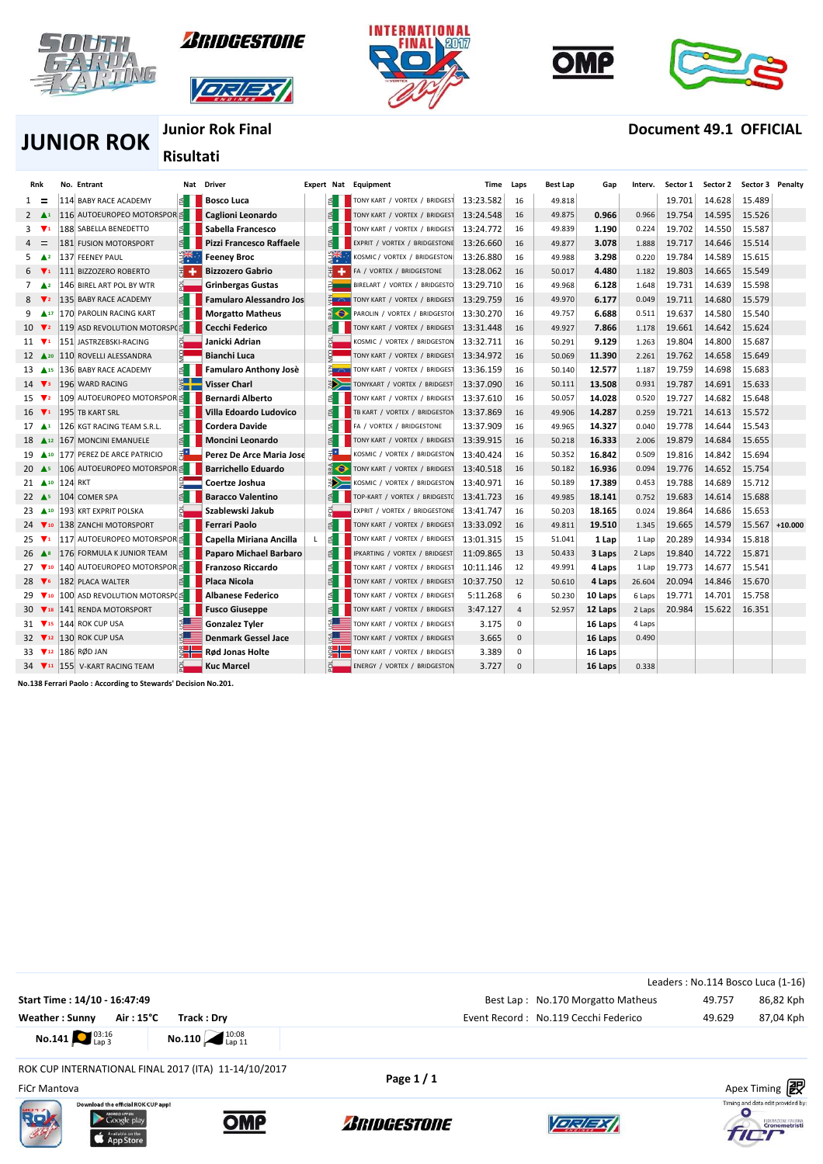











### **Junior Rok Final Document 49.1 OFFICIAL**

**JUNIOR ROK**

# **Risultati**

| Rnk                         |                |                | No. Entrant                                      |        | Nat Driver                     |    |     | <b>Expert Nat Equipment</b>   | Time      | Laps           | <b>Best Lap</b> | Gap     | Interv. | Sector 1 | Sector 2 | Sector 3 Penalty |           |
|-----------------------------|----------------|----------------|--------------------------------------------------|--------|--------------------------------|----|-----|-------------------------------|-----------|----------------|-----------------|---------|---------|----------|----------|------------------|-----------|
| $1 =$                       |                |                | 114 BABY RACE ACADEMY                            | é.     | <b>Bosco Luca</b>              |    |     | TONY KART / VORTEX / BRIDGEST | 13:23.582 | 16             | 49.818          |         |         | 19.701   | 14.628   | 15.489           |           |
| $2 \triangle 1$             |                |                | 116 AUTOEUROPEO MOTORSPOR <sup>≤</sup>           |        | Caglioni Leonardo              |    |     | TONY KART / VORTEX / BRIDGEST | 13:24.548 | 16             | 49.875          | 0.966   | 0.966   | 19.754   | 14.595   | 15.526           |           |
| 3                           | $\mathbf{v}_1$ |                | 188 SABELLA BENEDETTO                            | E.     | Sabella Francesco              |    | B.  | TONY KART / VORTEX / BRIDGEST | 13:24.772 | 16             | 49.839          | 1.190   | 0.224   | 19.702   | 14.550   | 15.587           |           |
| $=$<br>$\overline{a}$       |                |                | <b>181 FUSION MOTORSPORT</b>                     | E.     | Pizzi Francesco Raffaele       |    | B.  | EXPRIT / VORTEX / BRIDGESTONE | 13:26.660 | 16             | 49.877          | 3.078   | 1.888   | 19.717   | 14.646   | 15.514           |           |
| 5.                          | $\triangle^2$  |                | 137 FEENEY PAUL                                  |        | <b>Feeney Broc</b>             |    |     | KOSMIC / VORTEX / BRIDGESTON  | 13:26.880 | 16             | 49.988          | 3.298   | 0.220   | 19.784   | 14.589   | 15.615           |           |
|                             | $\mathbf{v}_1$ |                | 111 BIZZOZERO ROBERTO                            | 国<br>۰ | <b>Bizzozero Gabrio</b>        |    | ÷   | FA / VORTEX / BRIDGESTONE     | 13:28.062 | 16             | 50.017          | 4.480   | 1.182   | 19.803   | 14.665   | 15.549           |           |
| $7 \triangle 2$             |                |                | 146 BIREL ART POL BY WTR                         |        | <b>Grinbergas Gustas</b>       |    |     | BIRELART / VORTEX / BRIDGESTO | 13:29.710 | 16             | 49.968          | 6.128   | 1.648   | 19.731   | 14.639   | 15.598           |           |
|                             | $\sqrt{2}$     |                | 135 BABY RACE ACADEMY                            |        | <b>Famularo Alessandro Jos</b> |    |     | TONY KART / VORTEX / BRIDGEST | 13:29.759 | 16             | 49.970          | 6.177   | 0.049   | 19.711   | 14.680   | 15.579           |           |
| $9 \triangle 17$            |                |                | 170 PAROLIN RACING KART                          | €      | <b>Morgatto Matheus</b>        |    | E O | PAROLIN / VORTEX / BRIDGESTOI | 13:30.270 | 16             | 49.757          | 6.688   | 0.511   | 19.637   | 14.580   | 15.540           |           |
| $10 \sqrt{2}$               |                |                | 119 ASD REVOLUTION MOTORSP(≦                     |        | Cecchi Federico                |    |     | TONY KART / VORTEX / BRIDGEST | 13:31.448 | 16             | 49.927          | 7.866   | 1.178   | 19.661   | 14.642   | 15.624           |           |
| $11 \quad \nabla$           |                |                | 151 JASTRZEBSKI-RACING                           |        | Janicki Adrian                 |    |     | KOSMIC / VORTEX / BRIDGESTON  | 13:32.711 | 16             | 50.291          | 9.129   | 1.263   | 19.804   | 14.800   | 15.687           |           |
| $12 \triangle 20$           |                |                | 110 ROVELLI ALESSANDRA                           |        | <b>Bianchi Luca</b>            |    |     | TONY KART / VORTEX / BRIDGEST | 13:34.972 | 16             | 50.069          | 11.390  | 2.261   | 19.762   | 14.658   | 15.649           |           |
| $13 \triangle 15$           |                |                | 136 BABY RACE ACADEMY                            | ₫      | <b>Famularo Anthony Josè</b>   |    |     | TONY KART / VORTEX / BRIDGEST | 13:36.159 | 16             | 50.140          | 12.577  | 1.187   | 19.759   | 14.698   | 15.683           |           |
| $14 \sqrt{3}$               |                |                | 196 WARD RACING                                  |        | <b>Visser Charl</b>            |    |     | TONYKART / VORTEX / BRIDGEST  | 13:37.090 | 16             | 50.111          | 13.508  | 0.931   | 19.787   | 14.691   | 15.633           |           |
| 15 $\nabla$ 2               |                |                | 109 AUTOEUROPEO MOTORSPOR ≦                      |        | <b>Bernardi Alberto</b>        |    |     | TONY KART / VORTEX / BRIDGEST | 13:37.610 | 16             | 50.057          | 14.028  | 0.520   | 19.727   | 14.682   | 15.648           |           |
| $16 \quad \nabla$           |                |                | 195 TB KART SRL                                  |        | Villa Edoardo Ludovico         |    |     | TB KART / VORTEX / BRIDGESTON | 13:37.869 | 16             | 49.906          | 14.287  | 0.259   | 19.721   | 14.613   | 15.572           |           |
| $17 \triangle 1$            |                |                | 126 KGT RACING TEAM S.R.L.                       | E.     | <b>Cordera Davide</b>          |    |     | / VORTEX / BRIDGESTONE<br>FA  | 13:37.909 | 16             | 49.965          | 14.327  | 0.040   | 19.778   | 14.644   | 15.543           |           |
| $18$ $\triangle$ 12         |                |                | 167 MONCINI EMANUELE                             | 乱      | Moncini Leonardo               |    | ₹.  | TONY KART / VORTEX / BRIDGEST | 13:39.915 | 16             | 50.218          | 16.333  | 2.006   | 19.879   | 14.684   | 15.655           |           |
| 19 410                      |                |                | 177 PEREZ DE ARCE PATRICIO                       | 打      | Perez De Arce Maria Jose       |    | E*  | KOSMIC / VORTEX / BRIDGESTON  | 13:40.424 | 16             | 50.352          | 16.842  | 0.509   | 19.816   | 14.842   | 15.694           |           |
| 20 $\triangle$ <sub>5</sub> |                |                | 106 AUTOEUROPEO MOTORSPOR ≦                      |        | <b>Barrichello Eduardo</b>     |    | E O | TONY KART / VORTEX / BRIDGEST | 13:40.518 | 16             | 50.182          | 16.936  | 0.094   | 19.776   | 14.652   | 15.754           |           |
| $21 \triangle 10$           |                | <b>124 RKT</b> |                                                  |        | Coertze Joshua                 |    |     | KOSMIC / VORTEX / BRIDGESTON  | 13:40.971 | 16             | 50.189          | 17.389  | 0.453   | 19.788   | 14.689   | 15.712           |           |
| 22 $\triangle$ s            |                |                | 104 COMER SPA                                    |        | <b>Baracco Valentino</b>       |    |     | TOP-KART / VORTEX / BRIDGEST( | 13:41.723 | 16             | 49.985          | 18.141  | 0.752   | 19.683   | 14.614   | 15.688           |           |
| $23 \triangle 10$           |                |                | 193 KRT EXPRIT POLSKA                            |        | Szablewski Jakub               |    |     | EXPRIT / VORTEX / BRIDGESTONE | 13:41.747 | 16             | 50.203          | 18.165  | 0.024   | 19.864   | 14.686   | 15.653           |           |
| $24 \sqrt{10}$              |                |                | 138 ZANCHI MOTORSPORT                            | ₿.     | <b>Ferrari Paolo</b>           |    | ₫   | TONY KART / VORTEX / BRIDGEST | 13:33.092 | 16             | 49.811          | 19.510  | 1.345   | 19.665   | 14.579   | 15.567           | $+10.000$ |
| 25 $\nabla$ 1               |                |                | 117 AUTOEUROPEO MOTORSPOR <sup>≤</sup>           |        | Capella Miriana Ancilla        | L. | E   | TONY KART / VORTEX / BRIDGEST | 13:01.315 | 15             | 51.041          | 1 Lap   | 1 Lap   | 20.289   | 14.934   | 15.818           |           |
| 26 $\triangle$ <sup>8</sup> |                |                | 176 FORMULA K JUNIOR TEAM                        | E.     | Paparo Michael Barbaro         |    |     | IPKARTING / VORTEX / BRIDGEST | 11:09.865 | 13             | 50.433          | 3 Laps  | 2 Laps  | 19.840   | 14.722   | 15.871           |           |
| $27 \sqrt{10}$              |                |                | 140 AUTOEUROPEO MOTORSPOR <sup>5</sup>           |        | <b>Franzoso Riccardo</b>       |    | ₹.  | TONY KART / VORTEX / BRIDGEST | 10:11.146 | 12             | 49.991          | 4 Laps  | 1 Lap   | 19.773   | 14.677   | 15.541           |           |
| 28 $\blacktriangledown$     |                |                | 182 PLACA WALTER                                 | LΕ     | Placa Nicola                   |    |     | TONY KART / VORTEX / BRIDGEST | 10:37.750 | 12             | 50.610          | 4 Laps  | 26.604  | 20.094   | 14.846   | 15.670           |           |
| $29 \sqrt{10}$              |                |                | 100 ASD REVOLUTION MOTORSP(≦                     |        | Albanese Federico              |    | \$. | TONY KART / VORTEX / BRIDGEST | 5:11.268  | 6              | 50.230          | 10 Laps | 6 Laps  | 19.771   | 14.701   | 15.758           |           |
| $30 \sqrt{18}$              |                |                | 141 RENDA MOTORSPORT                             | $\leq$ | <b>Fusco Giuseppe</b>          |    |     | TONY KART / VORTEX / BRIDGEST | 3:47.127  | $\overline{4}$ | 52.957          | 12 Laps | 2 Laps  | 20.984   | 15.622   | 16.351           |           |
| $31 \sqrt{15}$              |                |                | 144 ROK CUP USA                                  | अ≔     | <b>Gonzalez Tyler</b>          |    | ≲ ≡ | TONY KART / VORTEX / BRIDGEST | 3.175     | $\Omega$       |                 | 16 Laps | 4 Laps  |          |          |                  |           |
| 32 V <sub>12</sub>          |                |                | 130 ROK CUP USA                                  | ⋦⋐⋿    | <b>Denmark Gessel Jace</b>     |    | ≴ ≡ | TONY KART / VORTEX / BRIDGEST | 3.665     | $\Omega$       |                 | 16 Laps | 0.490   |          |          |                  |           |
| 33 <b>V</b> <sub>12</sub>   |                |                | 186 RØD JAN                                      |        | Rød Jonas Holte                |    |     | TONY KART / VORTEX / BRIDGEST | 3.389     | 0              |                 | 16 Laps |         |          |          |                  |           |
|                             |                |                | 34 <b>V</b> <sub>11</sub> 155 V-KART RACING TEAM |        | <b>Kuc Marcel</b>              |    |     | ENERGY / VORTEX / BRIDGESTON  | 3.727     | $\Omega$       |                 | 16 Laps | 0.338   |          |          |                  |           |

**No.138 Ferrari Paolo : According to Stewards' Decision No.201.**

 $\overline{\phantom{a}}$ 





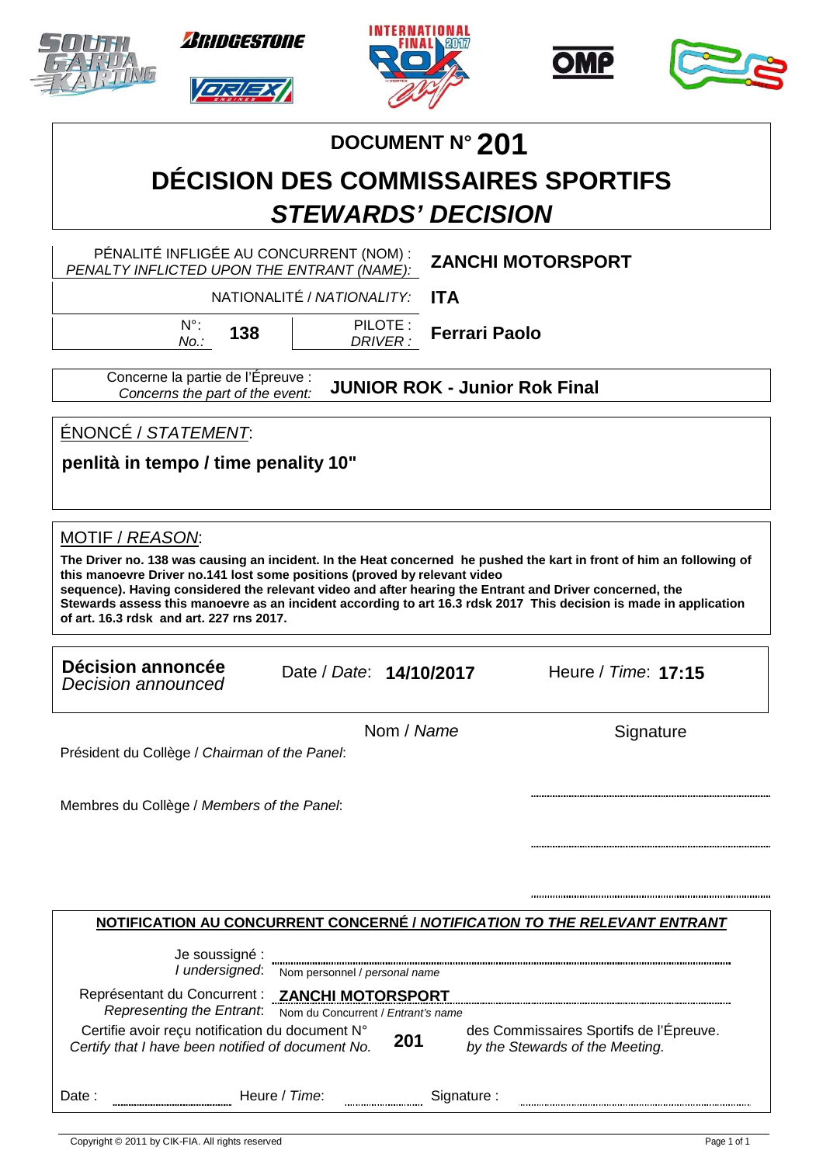|                                                                                                                                                                                      | <i><b>RRIDGESTONE</b></i>                                                                                                                                            |                            |                    |                      |                                                                            |           |  |
|--------------------------------------------------------------------------------------------------------------------------------------------------------------------------------------|----------------------------------------------------------------------------------------------------------------------------------------------------------------------|----------------------------|--------------------|----------------------|----------------------------------------------------------------------------|-----------|--|
|                                                                                                                                                                                      |                                                                                                                                                                      |                            |                    | DOCUMENT Nº 201      |                                                                            |           |  |
|                                                                                                                                                                                      | <b>DÉCISION DES COMMISSAIRES SPORTIFS</b>                                                                                                                            |                            |                    |                      |                                                                            |           |  |
|                                                                                                                                                                                      |                                                                                                                                                                      | <b>STEWARDS' DECISION</b>  |                    |                      |                                                                            |           |  |
|                                                                                                                                                                                      | PÉNALITÉ INFLIGÉE AU CONCURRENT (NOM) :<br>PENALTY INFLICTED UPON THE ENTRANT (NAME):                                                                                |                            |                    |                      | <b>ZANCHI MOTORSPORT</b>                                                   |           |  |
|                                                                                                                                                                                      |                                                                                                                                                                      | NATIONALITÉ / NATIONALITY: | <b>ITA</b>         |                      |                                                                            |           |  |
|                                                                                                                                                                                      | $N^{\circ}$ :<br>138<br>No.:                                                                                                                                         |                            | PILOTE:<br>DRIVER: | <b>Ferrari Paolo</b> |                                                                            |           |  |
|                                                                                                                                                                                      | Concerne la partie de l'Épreuve :<br>Concerns the part of the event:                                                                                                 |                            |                    |                      | <b>JUNIOR ROK - Junior Rok Final</b>                                       |           |  |
| ÉNONCÉ / STATEMENT:                                                                                                                                                                  |                                                                                                                                                                      |                            |                    |                      |                                                                            |           |  |
| penlità in tempo / time penality 10"                                                                                                                                                 |                                                                                                                                                                      |                            |                    |                      |                                                                            |           |  |
| this manoevre Driver no.141 lost some positions (proved by relevant video<br>sequence). Having considered the relevant video and after hearing the Entrant and Driver concerned, the |                                                                                                                                                                      |                            |                    |                      |                                                                            |           |  |
| of art. 16.3 rdsk and art. 227 rns 2017.<br>Décision annoncée<br>Decision announced                                                                                                  | Stewards assess this manoevre as an incident according to art 16.3 rdsk 2017 This decision is made in application                                                    | Date / Date: 14/10/2017    |                    |                      | Heure / Time: 17:15                                                        |           |  |
|                                                                                                                                                                                      |                                                                                                                                                                      |                            | Nom / Name         |                      |                                                                            | Signature |  |
| Président du Collège / Chairman of the Panel:<br>Membres du Collège / Members of the Panel:                                                                                          |                                                                                                                                                                      |                            |                    |                      |                                                                            |           |  |
|                                                                                                                                                                                      |                                                                                                                                                                      |                            |                    |                      |                                                                            |           |  |
|                                                                                                                                                                                      |                                                                                                                                                                      |                            |                    |                      |                                                                            |           |  |
|                                                                                                                                                                                      | NOTIFICATION AU CONCURRENT CONCERNÉ / NOTIFICATION TO THE RELEVANT ENTRANT                                                                                           |                            |                    |                      |                                                                            |           |  |
|                                                                                                                                                                                      | Je soussigné :<br>I undersigned: Nom personnel / personal name                                                                                                       |                            |                    |                      |                                                                            |           |  |
|                                                                                                                                                                                      | Représentant du Concurrent : ZANCHI MOTORSPORT                                                                                                                       |                            |                    |                      |                                                                            |           |  |
|                                                                                                                                                                                      | Representing the Entrant. Nom du Concurrent / Entrant's name<br>Certifie avoir reçu notification du document N°<br>Certify that I have been notified of document No. |                            | 201                |                      | des Commissaires Sportifs de l'Épreuve.<br>by the Stewards of the Meeting. |           |  |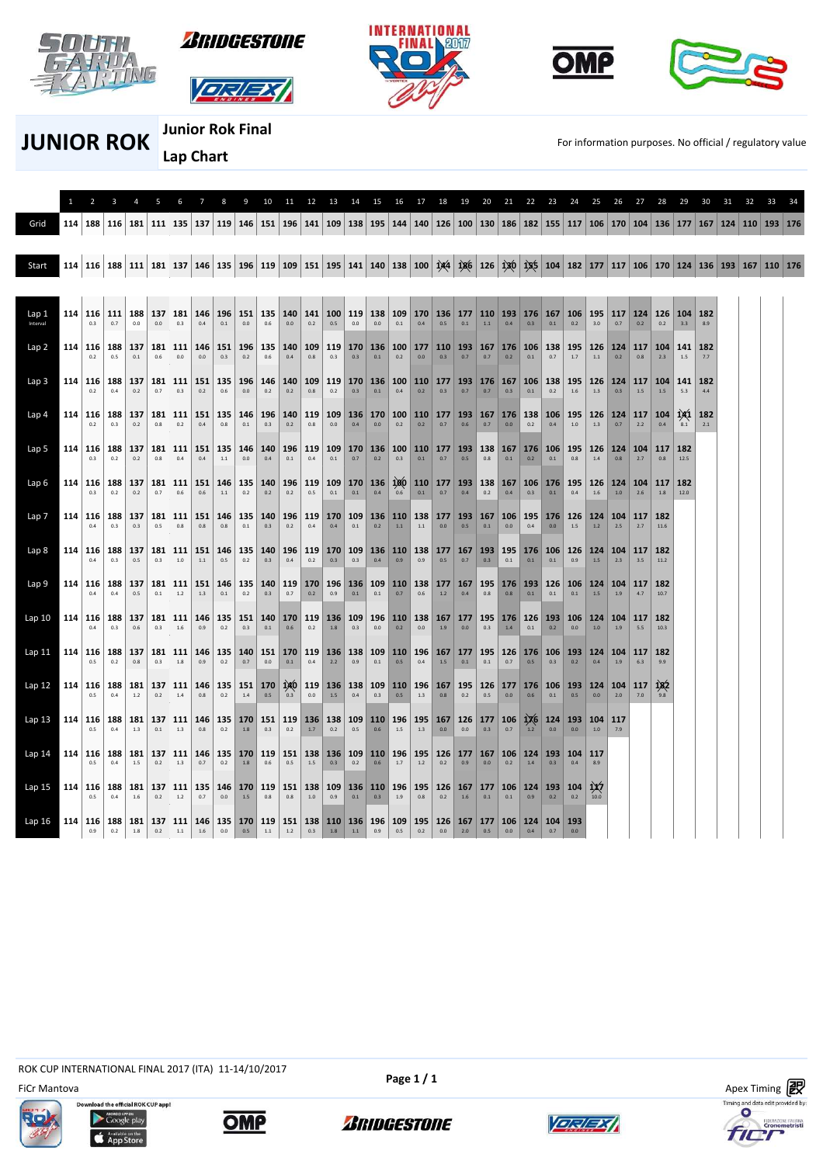











**JUNIOR ROK JUNIOR ROK For information purposes. No official / regulatory value** 

 $\overline{\phantom{a}}$ 

**Junior Rok Final Lap Chart** 

|                   | $\mathbf{1}$                                  |                              |              |                                   |                |                      |                  |                                                                                                                                                                 |                | 10             | 11             | 12               | 13         | 14                                                                                     | -15     | 16      |                            | 18         | 19      | 20                                             | 21.     | 22                                 | 23                 | 24                       | 25                             | 26             |                |             |                     |            |  | -34 |
|-------------------|-----------------------------------------------|------------------------------|--------------|-----------------------------------|----------------|----------------------|------------------|-----------------------------------------------------------------------------------------------------------------------------------------------------------------|----------------|----------------|----------------|------------------|------------|----------------------------------------------------------------------------------------|---------|---------|----------------------------|------------|---------|------------------------------------------------|---------|------------------------------------|--------------------|--------------------------|--------------------------------|----------------|----------------|-------------|---------------------|------------|--|-----|
| Grid              | 114                                           |                              |              | 188   116   181   111   135   137 |                |                      |                  | 119   146   151   196   141   109   138   195   144   140   126   100   130   186   182   155   117   106   170   104   136   177   167   124   110   193   176 |                |                |                |                  |            |                                                                                        |         |         |                            |            |         |                                                |         |                                    |                    |                          |                                |                |                |             |                     |            |  |     |
| Start             |                                               |                              |              |                                   |                |                      |                  | 114 116 188 111 181 137 146 135 196 119 109 151 195 141 140 138 100 144 186 126 120 125 104 182 177 117 106 170 124 135 193 167 110 176                         |                |                |                |                  |            |                                                                                        |         |         |                            |            |         |                                                |         |                                    |                    |                          |                                |                |                |             |                     |            |  |     |
|                   |                                               |                              |              |                                   |                |                      |                  |                                                                                                                                                                 |                |                |                |                  |            |                                                                                        |         |         |                            |            |         |                                                |         |                                    |                    |                          |                                |                |                |             |                     |            |  |     |
| Lap 1<br>Interval |                                               | 114 116 111                  |              | 188<br>0.0                        | 137<br>0.0     | 181<br>0.3           | 146<br>0.4       | 196<br>0.1                                                                                                                                                      | 151<br>0.0     | 135<br>0.6     | 0.0            | 0.2              | 0.5        | 140   141   100   119   138  <br>$0.0\,$                                               | 0.0     | 0.1     | 109 170 136<br>0.4         | 0.5        | 0.1     | $177$ 110 193 176 167 106<br>1.1               | 0.4     | 0.3                                | 0.1                | 0.2                      | 195<br>3.0                     | 117<br>0.7     | 124<br>0.2     | 126<br>0.2  | 104 182<br>3.3      | 8.9        |  |     |
| Lap <sub>2</sub>  |                                               | 114 116 188                  | 0.5          | 137<br>0.1                        | 181<br>0.6     | 111<br>$0.0\,$       | 146<br>0.0       | 151<br>0.3                                                                                                                                                      | 196<br>0.2     | 135<br>0.6     | 140<br>0.4     | $109$ 119<br>0.8 | 0.3        | 170 136<br>0.3                                                                         | 0.1     | 0.2     | 100 177<br>0.0             | 110<br>0.3 | 0.7     | 193 167 176<br>0.7                             | 0.2     | 106<br>0.1                         | 138<br>0.7         | 195<br>1.7               | 126<br>$1.1\,$                 | 124<br>0.2     | 117<br>0.8     | 104<br>2.3  | 141<br>$1.5\,$      | 182<br>7.7 |  |     |
| Lap <sub>3</sub>  |                                               | 114 116 188<br>0.2           | 0.4          | 137<br>0.2                        | 181<br>0.7     | 111<br>0.3           | 151<br>0.2       | 135<br>0.6                                                                                                                                                      | 196<br>0.0     | 146<br>0.2     | 140<br>0.2     | 109<br>0.8       | 119<br>0.2 | 170 136<br>0.3                                                                         | 0.1     | 0.4     | 100 110<br>0.2             | 177<br>0.3 | 0.7     | $193$ 176 167 106<br>0.7                       | 0.3     | 0.1                                | 138<br>0.2         | 195<br>1.6               | 126<br>1.3                     | 124<br>0.3     | 117<br>1.5     | 104<br>1.5  | 141<br>5.3          | 182<br>44  |  |     |
| Lap 4             |                                               | 114 116<br>0.2               | 188<br>0.3   | 137<br>0.2                        | 181<br>0.8     | 111<br>0.2           | 151<br>0.4       | 135<br>0.8                                                                                                                                                      | 146<br>$0.1\,$ | 196<br>0.3     | 140<br>0.2     | 119<br>0.8       | 109<br>0.0 | 136   170<br>0.4                                                                       | 0.0     | 0.2     | $100$ 110<br>0.2           | 0.7        | 0.6     | 177   193   167   176  <br>0.7                 | 0.0     | 138<br>0.2                         | 106<br>0.4         | 195<br>1.0               | 126<br>1.3                     | 124<br>0.7     | 117<br>2.2     | 104<br>0.4  | 141<br>8.1          | 182<br>2.1 |  |     |
| Lap 5             |                                               | 114 116<br>0.3               | ∣ 188<br>0.2 | 137<br>0.2                        | 181<br>$0.8\,$ | 111<br>$0.4\,$       | 151<br>0.4       | 135<br>$1.1\,$                                                                                                                                                  | 146<br>$0.0\,$ | 140<br>$0.4\,$ | 196<br>$0.1\,$ | 119<br>$0.4\,$   | $0.1\,$    | 109 170 136<br>0.7                                                                     | 0.2     | 0.3     | 100 110 177 193<br>0.1     | 0.7        | $0.5\,$ | 0.8                                            | $0.1\,$ | 138 167 176<br>0.2                 | 106 195<br>$0.1\,$ | $0.8\,$                  | 126<br>$1.4\,$                 | 124<br>$0.8\,$ | 104<br>2.7     | 117<br>0.8  | $\vert$ 182<br>12.5 |            |  |     |
| Lap <sub>6</sub>  |                                               | 114 116<br>0.3               | 188<br>0.2   | 137<br>0.2                        | 181<br>0.7     | 111<br>$0.6\,$       | 151<br>$0.6\,$   | 146<br>$1.1\,$                                                                                                                                                  | 135<br>0.2     | 140<br>$0.2\,$ | 196<br>$0.2\,$ | $0.5\,$          | $0.1\,$    | 119   109   170   136<br>$0.1\,$                                                       | 0.4     | 0.6     | 0.1                        | 0.7        | $0.4\,$ | 100 110 177 193 138 167 106<br>$0.2\,$         | 0.4     | $0.3\,$                            | 176 195<br>0.1     | $0.4\,$                  | 126<br>1.6                     | 124<br>$1.0$   | 104<br>$2.6\,$ | 117<br>1.8  | 182<br>12.0         |            |  |     |
| Lap 7             |                                               | 114   116   188   137<br>0.4 | 0.3          | 0.3                               | 181<br>0.5     | 111<br>$0.8\,$       | 151<br>$0.8\,$   | 146<br>0.8                                                                                                                                                      | 135<br>0.1     | 140<br>$0.3\,$ | $0.2\,$        | $0.4\,$          | 0.4        | 196 119 170 109 136 110 138 177 193 167 106 195<br>0.1                                 | 0.2     | $1.1\,$ | $1.1\,$                    | $0.0\,$    | $0.5\,$ | $0.1\,$                                        | 0.0     | $0.4\,$                            | $176$ 126<br>0.0   | $1.5\,$                  | $124 \mid 104$<br>$1.2\,$      | $2.5\,$        | 117<br>2.7     | 182<br>11.6 |                     |            |  |     |
| Lap <sub>8</sub>  |                                               | 114 116 188<br>0.4           | 0.3          | 137<br>0.5                        | 181<br>0.3     | 111<br>1.0           | 151<br>1.1       | 146<br>0.5                                                                                                                                                      | 135<br>0.2     | 140<br>0.3     | 0.4            | $0.2\,$          | 0.3        | 196 119 170 109 136 110 138<br>$0.3\,$                                                 | 0.4     | 0.9     | 0.9                        | 0.5        | 0.7     | 177   167   193   195   176   106   126<br>0.3 | 0.1     | 0.1                                | 0.1                | 0.9                      | $124 \mid 104$<br>$1.5\,$      | 2.3            | 117<br>3.5     | 182<br>11.2 |                     |            |  |     |
| Lap 9             |                                               | 114 116 188<br>0.4           | 0.4          | 137<br>0.5                        | 181<br>0.1     | 111<br>$1.2\,$       | 151<br>1.3       | 146<br>0.1                                                                                                                                                      | 135<br>0.2     | 140<br>0.3     | 0.7            | 0.2              | $0.9\,$    | 119 170 196 136<br>0.1                                                                 | 0.1     | $0.7\,$ | 109 110 138 177 167<br>0.6 | 1.2        | 0.4     | 0.8                                            | 0.8     | 195 176 193<br>0.1                 | 126<br>0.1         | 0.1                      | 106 124 104<br>$1.5\,$         | 1.9            | 117<br>4.7     | 182<br>10.7 |                     |            |  |     |
| Lap10             |                                               | 114   116   188  <br>0.4     | 0.3          | 137<br>0.6                        | 181<br>0.3     | 111<br>$1.6\,$       | 146<br>0.9       | 135<br>0.2                                                                                                                                                      | 0.3            | $0.1\,$        | $0.6\,$        | $0.2\,$          | $1.8\,$    | 151   140   170   119   136   109   196   110   138   167   177  <br>0.3               | $0.0\,$ | $0.2\,$ | 0.0                        | 1.9        | 0.0     | 0.3                                            | 1.4     | 195 176 126<br>$0.1\,$             | 0.2                | $0.0\,$                  | 193   106   124   104  <br>1.0 | $1.9\,$        | 117<br>5.5     | 182<br>10.3 |                     |            |  |     |
| Lap 11            |                                               | 114   116   188   137<br>0.5 | 0.2          | 0.8                               | 0.3            | $181$   111  <br>1.8 | 0.9              | 146 135<br>0.2                                                                                                                                                  | $0.7\,$        | $0.0\,$        | $0.1\,$        | 0.4              | 2.2        | 140   151   170   119   136   138   109   110   196   167   177  <br>$0.9\,$           | 0.1     | 0.5     | 0.4                        | 1.5        | $0.1\,$ | 0.1                                            | 0.7     | 195 126 176 106 193 124 104<br>0.5 | 0.3                | 0.2                      | 0.4                            | 1.9            | 117<br>6.3     | 182<br>9.9  |                     |            |  |     |
| Lap 12            |                                               | 114   116   188  <br>0.5     | 0.4          | 181<br>1.2                        | 137<br>0.2     | 111<br>$1.4\,$       | 146<br>$0.8\,$   | 0.2                                                                                                                                                             | $1.4\,$        | $0.5\,$        | $0.3\,$        | 0.0              | $1.5$      | 135 151 170 140 119 136 138 109 110 196 167 195 126 177 176 106 193 124 104<br>$0.4\,$ | 0.3     | $0.5\,$ | 1.3                        | 0.8        | $0.2\,$ | 0.5                                            | $0.0\,$ | 0.6                                | $0.1\,$            | $0.5\,$                  | 0.0                            | 2.0            | 117<br>7.0     | 182         |                     |            |  |     |
| Lap 13            |                                               | 114   116   188  <br>0.5     | 0.4          | 181<br>1.3                        | 137<br>0.1     | 1.3                  | 111   146<br>0.8 | 135<br>0.2                                                                                                                                                      | 1.8            | 0.3            | 0.2            | 1.7              | 0.2        | 170   151   119   136   138   109   110   196   195   167<br>0.5                       | 0.6     | 1.5     | 1.3                        | 0.0        | 0.0     | $126$ 177 106 1 $X$ 6<br>0.3                   | 0.7     | 1.2                                | 0.0                | 124   193   104  <br>0.0 | 1.0                            | 117<br>7.9     |                |             |                     |            |  |     |
| Lap <sub>14</sub> |                                               | 114 116 188<br>0.5           | 0.4          | 181<br>1.5                        | 137<br>0.2     | 111<br>1.3           | 146<br>0.7       | 135<br>0.2                                                                                                                                                      | 170 119<br>1.8 | 0.6            | 151<br>0.5     | $1.5\,$          | 0.3        | 138 136 109 110<br>0.2                                                                 | 0.6     | 1.7     | 196 195<br>$1.2$           | 126<br>0.2 | 0.9     | 177   167   106   124<br>0.0                   | 0.2     | 1.4                                | 0.3                | 193 104<br>0.4           | 117<br>8.9                     |                |                |             |                     |            |  |     |
| $Lap$ 15          |                                               | 114 116 188<br>0.5           | 0.4          | 181<br>1.6                        | 137<br>0.2     | 111<br>1.2           | 135<br>0.7       | 146<br>0.0                                                                                                                                                      | 170<br>1.5     | 119<br>0.8     | 151<br>0.8     | 138 109<br>1.0   | 0.9        | 136 110 <br>0.1                                                                        | 0.3     | 1.9     | 196 195<br>0.8             | 126<br>0.2 | 1.6     | 167   177   106   124   193   104  <br>0.1     | 0.1     | 0.9                                | 0.2                | 0.2                      | 11/7<br>10.0                   |                |                |             |                     |            |  |     |
| Lap 16            | 114   116   188   181   137   111   146   135 |                              |              | 1.8                               | 0.2            | 1.1                  | $1.6\,$          | 0.0                                                                                                                                                             | 0.5            | $1.1\,$        | $1.2$          | $0.3\,$          | $1.8$      | 170 119 151 138 110 136 196 109 195 126 167 177 106 124 104 193<br>$1.1\,$             | 0.9     | 0.5     | $0.2\,$                    | 0.0        | $2.0\,$ | 0.5                                            | 0.0     |                                    | 0.7                |                          |                                |                |                |             |                     |            |  |     |

ROK CUP INTERNATIONAL FINAL 2017 (ITA) 11-14/10/2017









*ARIDGESTONE* 

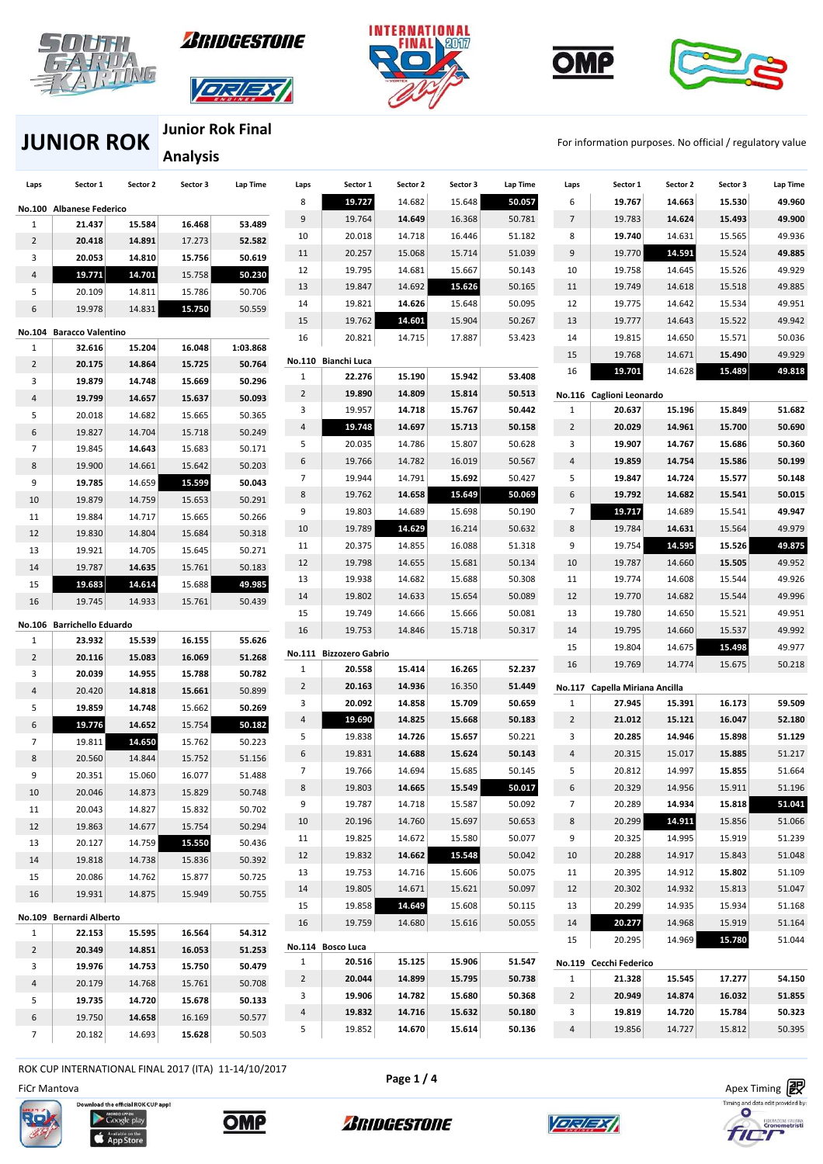









## **JUNIOR ROK JUNIOR ROK FILL A FOR THE ROOM For information purposes. No official / regulatory value**

**Junior Rok Final Analysis** 

| Laps                | Sector 1                   | Sector 2         | Sector 3         | Lap Time         | Laps           | Sector 1                    | Sector 2 | Sector 3 | Lap Time | Laps           | Sector 1                       | Sector 2 | Sector 3 | Lap Time |
|---------------------|----------------------------|------------------|------------------|------------------|----------------|-----------------------------|----------|----------|----------|----------------|--------------------------------|----------|----------|----------|
|                     | No.100 Albanese Federico   |                  |                  |                  | 8              | 19.727                      | 14.682   | 15.648   | 50.057   | 6              | 19.767                         | 14.663   | 15.530   | 49.960   |
| 1                   | 21.437                     | 15.584           | 16.468           | 53.489           | 9              | 19.764                      | 14.649   | 16.368   | 50.781   | $\overline{7}$ | 19.783                         | 14.624   | 15.493   | 49.900   |
| $\overline{2}$      | 20.418                     | 14.891           | 17.273           | 52.582           | 10             | 20.018                      | 14.718   | 16.446   | 51.182   | 8              | 19.740                         | 14.631   | 15.565   | 49.936   |
| 3                   | 20.053                     | 14.810           | 15.756           | 50.619           | 11             | 20.257                      | 15.068   | 15.714   | 51.039   | 9              | 19.770                         | 14.591   | 15.524   | 49.885   |
| 4                   | 19.771                     | 14.701           | 15.758           | 50.230           | 12             | 19.795                      | 14.681   | 15.667   | 50.143   | 10             | 19.758                         | 14.645   | 15.526   | 49.929   |
| 5                   | 20.109                     | 14.811           | 15.786           | 50.706           | 13             | 19.847                      | 14.692   | 15.626   | 50.165   | 11             | 19.749                         | 14.618   | 15.518   | 49.885   |
| 6                   | 19.978                     | 14.831           | 15.750           | 50.559           | 14             | 19.821                      | 14.626   | 15.648   | 50.095   | 12             | 19.775                         | 14.642   | 15.534   | 49.951   |
|                     |                            |                  |                  |                  | 15             | 19.762                      | 14.601   | 15.904   | 50.267   | 13             | 19.777                         | 14.643   | 15.522   | 49.942   |
|                     | No.104 Baracco Valentino   |                  |                  |                  | 16             | 20.821                      | 14.715   | 17.887   | 53.423   | 14             | 19.815                         | 14.650   | 15.571   | 50.036   |
| $\mathbf{1}$        | 32.616                     | 15.204           | 16.048           | 1:03.868         |                | No.110 Bianchi Luca         |          |          |          | 15             | 19.768                         | 14.671   | 15.490   | 49.929   |
| $\overline{2}$      | 20.175                     | 14.864           | 15.725           | 50.764           | $\mathbf{1}$   | 22.276                      | 15.190   | 15.942   | 53.408   | 16             | 19.701                         | 14.628   | 15.489   | 49.818   |
| 3                   | 19.879                     | 14.748           | 15.669           | 50.296           | 2              | 19.890                      | 14.809   | 15.814   | 50.513   |                | No.116 Caglioni Leonardo       |          |          |          |
| 4                   | 19.799                     | 14.657           | 15.637           | 50.093           | 3              | 19.957                      | 14.718   | 15.767   | 50.442   | $\mathbf{1}$   | 20.637                         | 15.196   | 15.849   | 51.682   |
| 5                   | 20.018                     | 14.682           | 15.665           | 50.365           | 4              | 19.748                      | 14.697   | 15.713   | 50.158   | $\overline{2}$ | 20.029                         | 14.961   | 15.700   | 50.690   |
| 6<br>$\overline{7}$ | 19.827                     | 14.704           | 15.718           | 50.249           | 5              | 20.035                      | 14.786   | 15.807   | 50.628   | 3              | 19.907                         | 14.767   | 15.686   | 50.360   |
|                     | 19.845                     | 14.643           | 15.683           | 50.171           | 6              | 19.766                      | 14.782   | 16.019   | 50.567   | 4              | 19.859                         | 14.754   | 15.586   | 50.199   |
| 8<br>9              | 19.900<br>19.785           | 14.661<br>14.659 | 15.642<br>15.599 | 50.203<br>50.043 | 7              | 19.944                      | 14.791   | 15.692   | 50.427   | 5              | 19.847                         | 14.724   | 15.577   | 50.148   |
| 10                  | 19.879                     |                  | 15.653           | 50.291           | 8              | 19.762                      | 14.658   | 15.649   | 50.069   | 6              | 19.792                         | 14.682   | 15.541   | 50.015   |
| 11                  | 19.884                     | 14.759<br>14.717 | 15.665           | 50.266           | 9              | 19.803                      | 14.689   | 15.698   | 50.190   | 7              | 19.717                         | 14.689   | 15.541   | 49.947   |
| 12                  | 19.830                     | 14.804           | 15.684           | 50.318           | 10             | 19.789                      | 14.629   | 16.214   | 50.632   | $\bf 8$        | 19.784                         | 14.631   | 15.564   | 49.979   |
| 13                  | 19.921                     | 14.705           | 15.645           | 50.271           | 11             | 20.375                      | 14.855   | 16.088   | 51.318   | 9              | 19.754                         | 14.595   | 15.526   | 49.875   |
| 14                  | 19.787                     | 14.635           | 15.761           | 50.183           | 12             | 19.798                      | 14.655   | 15.681   | 50.134   | 10             | 19.787                         | 14.660   | 15.505   | 49.952   |
| 15                  | 19.683                     | 14.614           | 15.688           | 49.985           | 13             | 19.938                      | 14.682   | 15.688   | 50.308   | 11             | 19.774                         | 14.608   | 15.544   | 49.926   |
| 16                  | 19.745                     | 14.933           | 15.761           | 50.439           | 14             | 19.802                      | 14.633   | 15.654   | 50.089   | 12             | 19.770                         | 14.682   | 15.544   | 49.996   |
|                     |                            |                  |                  |                  | 15             | 19.749                      | 14.666   | 15.666   | 50.081   | 13             | 19.780                         | 14.650   | 15.521   | 49.951   |
|                     | No.106 Barrichello Eduardo |                  |                  |                  | 16             | 19.753                      | 14.846   | 15.718   | 50.317   | 14             | 19.795                         | 14.660   | 15.537   | 49.992   |
| 1                   | 23.932                     | 15.539           | 16.155           | 55.626           |                | No.111 Bizzozero Gabrio     |          |          |          | 15             | 19.804                         | 14.675   | 15.498   | 49.977   |
| $\overline{2}$      | 20.116                     | 15.083           | 16.069           | 51.268           | $\mathbf{1}$   | 20.558                      | 15.414   | 16.265   | 52.237   | 16             | 19.769                         | 14.774   | 15.675   | 50.218   |
| 3                   | 20.039                     | 14.955           | 15.788           | 50.782           | $\overline{2}$ | 20.163                      | 14.936   | 16.350   | 51.449   |                | No.117 Capella Miriana Ancilla |          |          |          |
| 4                   | 20.420                     | 14.818           | 15.661           | 50.899           | 3              | 20.092                      | 14.858   | 15.709   | 50.659   | 1              | 27.945                         | 15.391   | 16.173   | 59.509   |
| 5                   | 19.859                     | 14.748           | 15.662           | 50.269           | 4              | 19.690                      | 14.825   | 15.668   | 50.183   | $\overline{2}$ | 21.012                         | 15.121   | 16.047   | 52.180   |
| 6                   | 19.776                     | 14.652           | 15.754           | 50.182           | 5              | 19.838                      | 14.726   | 15.657   | 50.221   | 3              | 20.285                         | 14.946   | 15.898   | 51.129   |
| $\overline{7}$      | 19.811                     | 14.650           | 15.762           | 50.223           | 6              | 19.831                      | 14.688   | 15.624   | 50.143   | 4              | 20.315                         | 15.017   | 15.885   | 51.217   |
| 8                   | 20.560                     | 14.844           | 15.752           | 51.156           | $\overline{7}$ | 19.766                      | 14.694   | 15.685   | 50.145   | 5              | 20.812                         | 14.997   | 15.855   | 51.664   |
| 9<br>10             | 20.351<br>20.046           | 15.060<br>14.873 | 16.077<br>15.829 | 51.488<br>50.748 | 8              | 19.803                      | 14.665   | 15.549   | 50.017   | 6              | 20.329                         | 14.956   | 15.911   | 51.196   |
| 11                  | 20.043                     | 14.827           | 15.832           | 50.702           | 9              | 19.787                      | 14.718   | 15.587   | 50.092   | 7              | 20.289                         | 14.934   | 15.818   | 51.041   |
| 12                  | 19.863                     | 14.677           | 15.754           | 50.294           | 10             | 20.196                      | 14.760   | 15.697   | 50.653   | 8              | 20.299                         | 14.911   | 15.856   | 51.066   |
| 13                  | 20.127                     | 14.759           | 15.550           | 50.436           | 11             | 19.825                      | 14.672   | 15.580   | 50.077   | 9              | 20.325                         | 14.995   | 15.919   | 51.239   |
| 14                  | 19.818                     | 14.738           | 15.836           | 50.392           | 12             | 19.832                      | 14.662   | 15.548   | 50.042   | 10             | 20.288                         | 14.917   | 15.843   | 51.048   |
| 15                  | 20.086                     | 14.762           | 15.877           | 50.725           | 13             | 19.753                      | 14.716   | 15.606   | 50.075   | 11             | 20.395                         | 14.912   | 15.802   | 51.109   |
| 16                  | 19.931                     | 14.875           | 15.949           | 50.755           | 14             | 19.805                      | 14.671   | 15.621   | 50.097   | 12             | 20.302                         | 14.932   | 15.813   | 51.047   |
|                     |                            |                  |                  |                  | 15             | 19.858                      | 14.649   | 15.608   | 50.115   | 13             | 20.299                         | 14.935   | 15.934   | 51.168   |
|                     | No.109 Bernardi Alberto    |                  |                  |                  | 16             | 19.759                      | 14.680   | 15.616   | 50.055   | 14             | 20.277                         | 14.968   | 15.919   | 51.164   |
| $\mathbf{1}$        | 22.153                     | 15.595           | 16.564           | 54.312           |                |                             |          |          |          | 15             | 20.295                         | 14.969   | 15.780   | 51.044   |
| $\overline{2}$      | 20.349                     | 14.851           | 16.053           | 51.253           | $\mathbf{1}$   | No.114 Bosco Luca<br>20.516 | 15.125   | 15.906   | 51.547   |                | No.119 Cecchi Federico         |          |          |          |
| 3                   | 19.976                     | 14.753           | 15.750           | 50.479           | $\overline{2}$ | 20.044                      | 14.899   | 15.795   | 50.738   | 1              | 21.328                         | 15.545   | 17.277   | 54.150   |
| 4                   | 20.179                     | 14.768           | 15.761           | 50.708           | 3              | 19.906                      | 14.782   | 15.680   | 50.368   | $\overline{2}$ | 20.949                         | 14.874   | 16.032   | 51.855   |
| 5                   | 19.735                     | 14.720           | 15.678           | 50.133           | 4              | 19.832                      | 14.716   | 15.632   | 50.180   | 3              | 19.819                         | 14.720   | 15.784   | 50.323   |
| 6                   | 19.750                     | 14.658           | 16.169           | 50.577           | 5              | 19.852                      | 14.670   | 15.614   | 50.136   | 4              | 19.856                         | 14.727   | 15.812   | 50.395   |
| $\overline{7}$      | 20.182                     | 14.693           | 15.628           | 50.503           |                |                             |          |          |          |                |                                |          |          |          |

ROK CUP INTERNATIONAL FINAL 2017 (ITA) 11-14/10/2017

FiCr Mantova Apex Timing









*ARIDGESTONE* 



<u>| ETA 27 |</u>

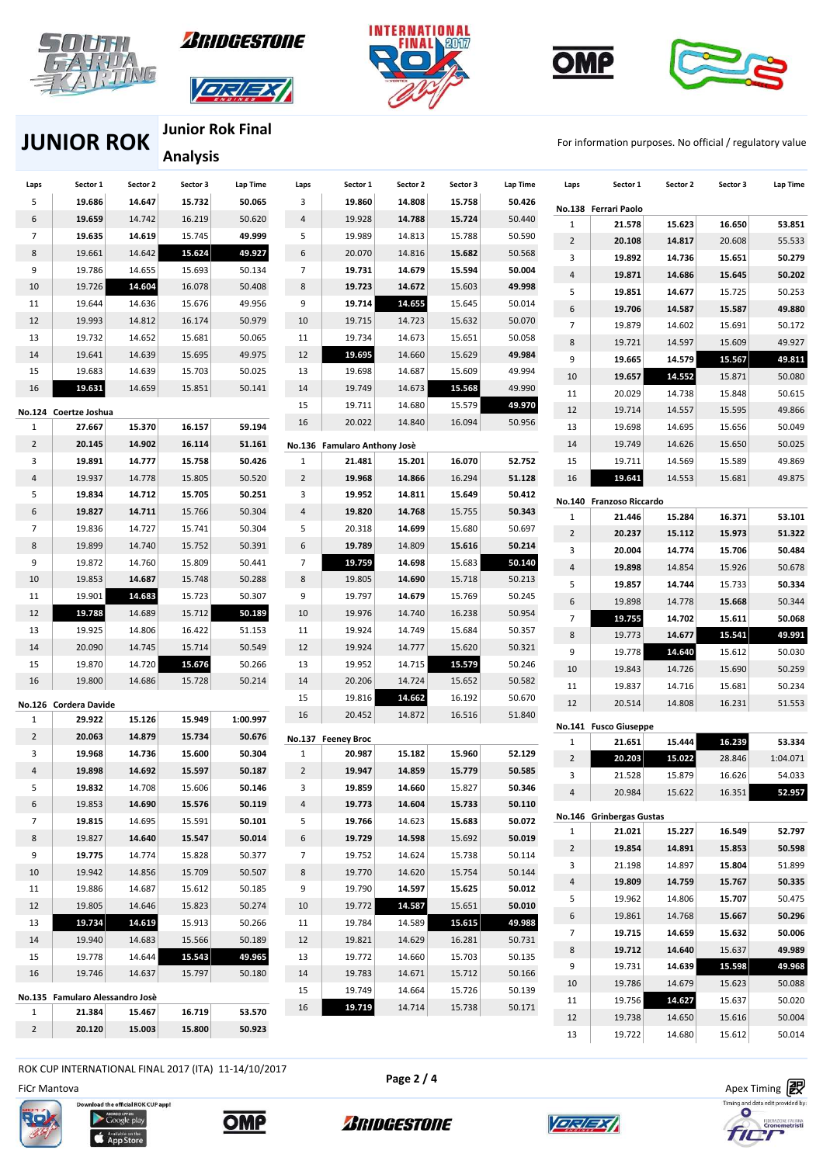









**JUNIOR ROK** FOR THE ROOM TO RELATE THE RESEAL FOR THE FOR INFORMATION PURPOSES. No official / regulatory value

**Junior Rok Final Analysis** 

| Laps           | Sector 1                        | Sector 2 | Sector 3 | Lap Time | Laps           | Sector 1                     | Sector 2 | Sector 3 | Lap Time | Laps           | Sector 1                        | Sector 2 | Sector 3 | Lap Time |
|----------------|---------------------------------|----------|----------|----------|----------------|------------------------------|----------|----------|----------|----------------|---------------------------------|----------|----------|----------|
| 5              | 19.686                          | 14.647   | 15.732   | 50.065   | 3              | 19.860                       | 14.808   | 15.758   | 50.426   |                | No.138 Ferrari Paolo            |          |          |          |
| 6              | 19.659                          | 14.742   | 16.219   | 50.620   | $\overline{4}$ | 19.928                       | 14.788   | 15.724   | 50.440   | $\mathbf{1}$   | 21.578                          | 15.623   | 16.650   | 53.851   |
| $\overline{7}$ | 19.635                          | 14.619   | 15.745   | 49.999   | 5              | 19.989                       | 14.813   | 15.788   | 50.590   | $\overline{2}$ | 20.108                          | 14.817   | 20.608   | 55.533   |
| 8              | 19.661                          | 14.642   | 15.624   | 49.927   | 6              | 20.070                       | 14.816   | 15.682   | 50.568   | 3              | 19.892                          | 14.736   | 15.651   | 50.279   |
| 9              | 19.786                          | 14.655   | 15.693   | 50.134   | $\overline{7}$ | 19.731                       | 14.679   | 15.594   | 50.004   | 4              | 19.871                          | 14.686   | 15.645   | 50.202   |
| 10             | 19.726                          | 14.604   | 16.078   | 50.408   | 8              | 19.723                       | 14.672   | 15.603   | 49.998   | 5              | 19.851                          | 14.677   | 15.725   | 50.253   |
| 11             | 19.644                          | 14.636   | 15.676   | 49.956   | 9              | 19.714                       | 14.655   | 15.645   | 50.014   | 6              | 19.706                          | 14.587   | 15.587   | 49.880   |
| 12             | 19.993                          | 14.812   | 16.174   | 50.979   | 10             | 19.715                       | 14.723   | 15.632   | 50.070   | $\overline{7}$ | 19.879                          | 14.602   | 15.691   | 50.172   |
| 13             | 19.732                          | 14.652   | 15.681   | 50.065   | 11             | 19.734                       | 14.673   | 15.651   | 50.058   | 8              | 19.721                          | 14.597   | 15.609   | 49.927   |
| 14             | 19.641                          | 14.639   | 15.695   | 49.975   | 12             | 19.695                       | 14.660   | 15.629   | 49.984   | 9              | 19.665                          | 14.579   | 15.567   | 49.811   |
| 15             | 19.683                          | 14.639   | 15.703   | 50.025   | 13             | 19.698                       | 14.687   | 15.609   | 49.994   | 10             | 19.657                          | 14.552   | 15.871   | 50.080   |
| 16             | 19.631                          | 14.659   | 15.851   | 50.141   | 14             | 19.749                       | 14.673   | 15.568   | 49.990   | 11             | 20.029                          | 14.738   | 15.848   | 50.615   |
|                | No.124 Coertze Joshua           |          |          |          | 15             | 19.711                       | 14.680   | 15.579   | 49.970   | 12             | 19.714                          | 14.557   | 15.595   | 49.866   |
| $\mathbf{1}$   | 27.667                          | 15.370   | 16.157   | 59.194   | 16             | 20.022                       | 14.840   | 16.094   | 50.956   | 13             | 19.698                          | 14.695   | 15.656   | 50.049   |
| $\overline{2}$ | 20.145                          | 14.902   | 16.114   | 51.161   |                | No.136 Famularo Anthony Josè |          |          |          | 14             | 19.749                          | 14.626   | 15.650   | 50.025   |
| 3              | 19.891                          | 14.777   | 15.758   | 50.426   | $\mathbf{1}$   | 21.481                       | 15.201   | 16.070   | 52.752   | 15             | 19.711                          | 14.569   | 15.589   | 49.869   |
| $\overline{4}$ | 19.937                          | 14.778   | 15.805   | 50.520   | $\overline{2}$ | 19.968                       | 14.866   | 16.294   | 51.128   | 16             | 19.641                          | 14.553   | 15.681   | 49.875   |
| 5              | 19.834                          | 14.712   | 15.705   | 50.251   | 3              | 19.952                       | 14.811   | 15.649   | 50.412   |                | No.140 Franzoso Riccardo        |          |          |          |
| 6              | 19.827                          | 14.711   | 15.766   | 50.304   | $\overline{4}$ | 19.820                       | 14.768   | 15.755   | 50.343   | $\mathbf{1}$   | 21.446                          | 15.284   | 16.371   | 53.101   |
| $\overline{7}$ | 19.836                          | 14.727   | 15.741   | 50.304   | 5              | 20.318                       | 14.699   | 15.680   | 50.697   | 2              | 20.237                          | 15.112   | 15.973   | 51.322   |
| 8              | 19.899                          | 14.740   | 15.752   | 50.391   | 6              | 19.789                       | 14.809   | 15.616   | 50.214   | 3              | 20.004                          | 14.774   | 15.706   | 50.484   |
| 9              | 19.872                          | 14.760   | 15.809   | 50.441   | $\overline{7}$ | 19.759                       | 14.698   | 15.683   | 50.140   | 4              | 19.898                          | 14.854   | 15.926   | 50.678   |
| 10             | 19.853                          | 14.687   | 15.748   | 50.288   | 8              | 19.805                       | 14.690   | 15.718   | 50.213   | 5              | 19.857                          | 14.744   | 15.733   | 50.334   |
| 11             | 19.901                          | 14.683   | 15.723   | 50.307   | 9              | 19.797                       | 14.679   | 15.769   | 50.245   | 6              | 19.898                          | 14.778   | 15.668   | 50.344   |
| 12             | 19.788                          | 14.689   | 15.712   | 50.189   | 10             | 19.976                       | 14.740   | 16.238   | 50.954   | 7              | 19.755                          | 14.702   | 15.611   | 50.068   |
| 13             | 19.925                          | 14.806   | 16.422   | 51.153   | 11             | 19.924                       | 14.749   | 15.684   | 50.357   | 8              | 19.773                          | 14.677   | 15.541   | 49.991   |
| 14             | 20.090                          | 14.745   | 15.714   | 50.549   | 12             | 19.924                       | 14.777   | 15.620   | 50.321   | 9              | 19.778                          | 14.640   | 15.612   | 50.030   |
| 15             | 19.870                          | 14.720   | 15.676   | 50.266   | 13             | 19.952                       | 14.715   | 15.579   | 50.246   | 10             | 19.843                          | 14.726   | 15.690   | 50.259   |
| 16             | 19.800                          | 14.686   | 15.728   | 50.214   | 14             | 20.206                       | 14.724   | 15.652   | 50.582   | 11             | 19.837                          | 14.716   | 15.681   | 50.234   |
|                | No.126 Cordera Davide           |          |          |          | 15             | 19.816                       | 14.662   | 16.192   | 50.670   | 12             | 20.514                          | 14.808   | 16.231   | 51.553   |
| 1              | 29.922                          | 15.126   | 15.949   | 1:00.997 | 16             | 20.452                       | 14.872   | 16.516   | 51.840   |                |                                 |          |          |          |
| $\overline{2}$ | 20.063                          | 14.879   | 15.734   | 50.676   |                | No.137 Feeney Broc           |          |          |          | $\mathbf{1}$   | No.141 Fusco Giuseppe<br>21.651 | 15.444   | 16.239   | 53.334   |
| 3              | 19.968                          | 14.736   | 15.600   | 50.304   | $\mathbf{1}$   | 20.987                       | 15.182   | 15.960   | 52.129   | $\overline{2}$ | 20.203                          | 15.022   | 28.846   | 1:04.071 |
| $\overline{4}$ | 19.898                          | 14.692   | 15.597   | 50.187   | $\overline{2}$ | 19.947                       | 14.859   | 15.779   | 50.585   | 3              | 21.528                          | 15.879   | 16.626   | 54.033   |
| 5              | 19.832                          | 14.708   | 15.606   | 50.146   | 3              | 19.859                       | 14.660   | 15.827   | 50.346   | 4              | 20.984                          | 15.622   | 16.351   | 52.957   |
| 6              | 19.853                          | 14.690   | 15.576   | 50.119   | 4              | 19.773                       | 14.604   | 15.733   | 50.110   |                |                                 |          |          |          |
| $\overline{7}$ | 19.815                          | 14.695   | 15.591   | 50.101   | 5              | 19.766                       | 14.623   | 15.683   | 50.072   |                | No.146 Grinbergas Gustas        |          |          |          |
| 8              | 19.827                          | 14.640   | 15.547   | 50.014   | 6              | 19.729                       | 14.598   | 15.692   | 50.019   | $\mathbf{1}$   | 21.021                          | 15.227   | 16.549   | 52.797   |
| 9              | 19.775                          | 14.774   | 15.828   | 50.377   | $\overline{7}$ | 19.752                       | 14.624   | 15.738   | 50.114   | $\overline{2}$ | 19.854                          | 14.891   | 15.853   | 50.598   |
| 10             | 19.942                          | 14.856   | 15.709   | 50.507   | 8              | 19.770                       | 14.620   | 15.754   | 50.144   | 3              | 21.198                          | 14.897   | 15.804   | 51.899   |
| 11             | 19.886                          | 14.687   | 15.612   | 50.185   | 9              | 19.790                       | 14.597   | 15.625   | 50.012   | 4              | 19.809                          | 14.759   | 15.767   | 50.335   |
| 12             | 19.805                          | 14.646   | 15.823   | 50.274   | 10             | 19.772                       | 14.587   | 15.651   | 50.010   | 5              | 19.962                          | 14.806   | 15.707   | 50.475   |
| 13             | 19.734                          | 14.619   | 15.913   | 50.266   | 11             | 19.784                       | 14.589   | 15.615   | 49.988   | 6              | 19.861                          | 14.768   | 15.667   | 50.296   |
| 14             | 19.940                          | 14.683   | 15.566   | 50.189   | 12             | 19.821                       | 14.629   | 16.281   | 50.731   | $7^{\circ}$    | 19.715                          | 14.659   | 15.632   | 50.006   |
| 15             | 19.778                          | 14.644   | 15.543   | 49.965   | 13             | 19.772                       | 14.660   | 15.703   | 50.135   | 8              | 19.712                          | 14.640   | 15.637   | 49.989   |
| 16             | 19.746                          | 14.637   | 15.797   | 50.180   | 14             | 19.783                       | 14.671   | 15.712   | 50.166   | 9              | 19.731                          | 14.639   | 15.598   | 49.968   |
|                | No.135 Famularo Alessandro Josè |          |          |          | 15             | 19.749                       | 14.664   | 15.726   | 50.139   | 10             | 19.786                          | 14.679   | 15.623   | 50.088   |
| $\mathbf{1}$   | 21.384                          | 15.467   | 16.719   | 53.570   | 16             | 19.719                       | 14.714   | 15.738   | 50.171   | 11             | 19.756                          | 14.627   | 15.637   | 50.020   |
| $\overline{2}$ | 20.120                          | 15.003   | 15.800   | 50.923   |                |                              |          |          |          | 12             | 19.738                          | 14.650   | 15.616   | 50.004   |
|                |                                 |          |          |          |                |                              |          |          |          | 13             | 19.722                          | 14.680   | 15.612   | 50.014   |

ROK CUP INTERNATIONAL FINAL 2017 (ITA) 11-14/10/2017

load the official ROK CUP app!

Coogle play

FiCr Mantova Apex Timing





**Page 2 / 4**

*BRIDGESTONE* 



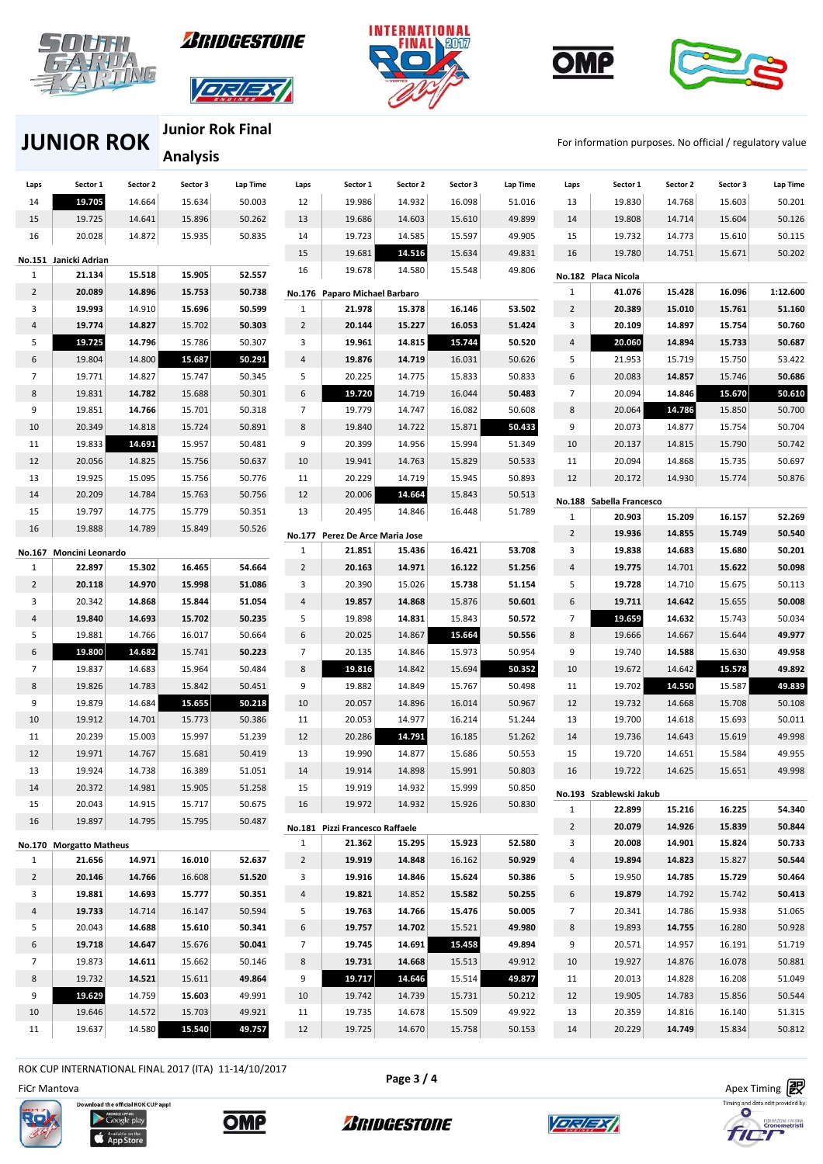









**JUNIOR ROK** FOR THE ROOM TO RELATE THE RESEAL FOR THE FOR INFORMATION PURPOSES. No official / regulatory value

**Junior Rok Final Analysis** 

| Laps           | Sector 1                | Sector 2 | Sector 3 | Lap Time | Laps           | Sector 1                                  | Sector 2 | Sector 3 | Lap Time | Laps                | Sector 1                          | Sector 2         | Sector 3         | Lap Time         |
|----------------|-------------------------|----------|----------|----------|----------------|-------------------------------------------|----------|----------|----------|---------------------|-----------------------------------|------------------|------------------|------------------|
| 14             | 19.705                  | 14.664   | 15.634   | 50.003   | 12             | 19.986                                    | 14.932   | 16.098   | 51.016   | 13                  | 19.830                            | 14.768           | 15.603           | 50.201           |
| 15             | 19.725                  | 14.641   | 15.896   | 50.262   | 13             | 19.686                                    | 14.603   | 15.610   | 49.899   | 14                  | 19.808                            | 14.714           | 15.604           | 50.126           |
| 16             | 20.028                  | 14.872   | 15.935   | 50.835   | 14             | 19.723                                    | 14.585   | 15.597   | 49.905   | 15                  | 19.732                            | 14.773           | 15.610           | 50.115           |
|                | No.151 Janicki Adrian   |          |          |          | 15             | 19.681                                    | 14.516   | 15.634   | 49.831   | 16                  | 19.780                            | 14.751           | 15.671           | 50.202           |
| 1              | 21.134                  | 15.518   | 15.905   | 52.557   | 16             | 19.678                                    | 14.580   | 15.548   | 49.806   |                     | No.182 Placa Nicola               |                  |                  |                  |
| $\overline{2}$ | 20.089                  | 14.896   | 15.753   | 50.738   |                |                                           |          |          |          | $\mathbf{1}$        | 41.076                            | 15.428           | 16.096           | 1:12.600         |
| 3              | 19.993                  | 14.910   | 15.696   | 50.599   | 1              | No.176 Paparo Michael Barbaro<br>21.978   | 15.378   | 16.146   | 53.502   | $\overline{2}$      | 20.389                            | 15.010           | 15.761           | 51.160           |
| $\overline{4}$ | 19.774                  | 14.827   | 15.702   | 50.303   | $\overline{2}$ | 20.144                                    | 15.227   | 16.053   | 51.424   | 3                   | 20.109                            | 14.897           | 15.754           | 50.760           |
| 5              | 19.725                  | 14.796   | 15.786   | 50.307   | 3              | 19.961                                    | 14.815   | 15.744   | 50.520   | 4                   | 20.060                            | 14.894           | 15.733           | 50.687           |
| 6              | 19.804                  | 14.800   | 15.687   | 50.291   | $\overline{4}$ | 19.876                                    | 14.719   | 16.031   | 50.626   | 5                   | 21.953                            | 15.719           | 15.750           | 53.422           |
| 7              | 19.771                  | 14.827   | 15.747   | 50.345   | 5              | 20.225                                    | 14.775   | 15.833   | 50.833   | 6                   | 20.083                            | 14.857           | 15.746           | 50.686           |
| 8              | 19.831                  | 14.782   |          | 50.301   | 6              | 19.720                                    | 14.719   | 16.044   | 50.483   | $\overline{7}$      | 20.094                            | 14.846           | 15.670           | 50.610           |
|                |                         |          | 15.688   |          |                |                                           |          |          |          |                     |                                   |                  |                  |                  |
| 9              | 19.851                  | 14.766   | 15.701   | 50.318   | $\overline{7}$ | 19.779                                    | 14.747   | 16.082   | 50.608   | 8                   | 20.064                            | 14.786           | 15.850           | 50.700           |
| 10             | 20.349                  | 14.818   | 15.724   | 50.891   | 8              | 19.840                                    | 14.722   | 15.871   | 50.433   | 9                   | 20.073                            | 14.877           | 15.754           | 50.704           |
| 11             | 19.833                  | 14.691   | 15.957   | 50.481   | 9              | 20.399                                    | 14.956   | 15.994   | 51.349   | 10                  | 20.137                            | 14.815           | 15.790           | 50.742           |
| 12             | 20.056                  | 14.825   | 15.756   | 50.637   | 10             | 19.941                                    | 14.763   | 15.829   | 50.533   | 11                  | 20.094                            | 14.868           | 15.735           | 50.697           |
| 13             | 19.925                  | 15.095   | 15.756   | 50.776   | 11             | 20.229                                    | 14.719   | 15.945   | 50.893   | 12                  | 20.172                            | 14.930           | 15.774           | 50.876           |
| 14             | 20.209                  | 14.784   | 15.763   | 50.756   | 12             | 20.006                                    | 14.664   | 15.843   | 50.513   |                     | No.188 Sabella Francesco          |                  |                  |                  |
| 15             | 19.797                  | 14.775   | 15.779   | 50.351   | 13             | 20.495                                    | 14.846   | 16.448   | 51.789   | $\mathbf{1}$        | 20.903                            | 15.209           | 16.157           | 52.269           |
| 16             | 19.888                  | 14.789   | 15.849   | 50.526   |                | No.177 Perez De Arce Maria Jose           |          |          |          | $\overline{2}$      | 19.936                            | 14.855           | 15.749           | 50.540           |
|                | No.167 Moncini Leonardo |          |          |          | $\mathbf{1}$   | 21.851                                    | 15.436   | 16.421   | 53.708   | 3                   | 19.838                            | 14.683           | 15.680           | 50.201           |
| 1              | 22.897                  | 15.302   | 16.465   | 54.664   | $\overline{2}$ | 20.163                                    | 14.971   | 16.122   | 51.256   | $\overline{4}$      | 19.775                            | 14.701           | 15.622           | 50.098           |
| $\overline{2}$ | 20.118                  | 14.970   | 15.998   | 51.086   | 3              | 20.390                                    | 15.026   | 15.738   | 51.154   | 5                   | 19.728                            | 14.710           | 15.675           | 50.113           |
| 3              | 20.342                  | 14.868   | 15.844   | 51.054   | 4              | 19.857                                    | 14.868   | 15.876   | 50.601   | 6                   | 19.711                            | 14.642           | 15.655           | 50.008           |
| 4              | 19.840                  | 14.693   | 15.702   | 50.235   | 5              | 19.898                                    | 14.831   | 15.843   | 50.572   | $\overline{7}$      | 19.659                            | 14.632           | 15.743           | 50.034           |
| 5              | 19.881                  | 14.766   | 16.017   | 50.664   | 6              | 20.025                                    | 14.867   | 15.664   | 50.556   | 8                   | 19.666                            | 14.667           | 15.644           | 49.977           |
| 6              | 19.800                  | 14.682   | 15.741   | 50.223   | $\overline{7}$ | 20.135                                    | 14.846   | 15.973   | 50.954   | 9                   | 19.740                            | 14.588           | 15.630           | 49.958           |
| $\overline{7}$ | 19.837                  | 14.683   | 15.964   | 50.484   | 8              | 19.816                                    | 14.842   | 15.694   | 50.352   | 10                  | 19.672                            | 14.642           | 15.578           | 49.892           |
| 8              | 19.826                  | 14.783   | 15.842   | 50.451   | 9              | 19.882                                    | 14.849   | 15.767   | 50.498   | 11                  | 19.702                            | 14.550           | 15.587           | 49.839           |
| 9              | 19.879                  | 14.684   | 15.655   | 50.218   | 10             | 20.057                                    | 14.896   | 16.014   | 50.967   | 12                  | 19.732                            | 14.668           | 15.708           | 50.108           |
| 10             | 19.912                  | 14.701   | 15.773   | 50.386   | 11             | 20.053                                    | 14.977   | 16.214   | 51.244   | 13                  | 19.700                            | 14.618           | 15.693           | 50.011           |
| 11             | 20.239                  | 15.003   | 15.997   | 51.239   | 12             | 20.286                                    | 14.791   | 16.185   | 51.262   | 14                  | 19.736                            | 14.643           | 15.619           | 49.998           |
| 12             | 19.971                  | 14.767   | 15.681   | 50.419   | 13             | 19.990                                    | 14.877   | 15.686   | 50.553   | 15                  | 19.720                            | 14.651           | 15.584           | 49.955           |
| 13             | 19.924                  | 14.738   | 16.389   | 51.051   | 14             | 19.914                                    | 14.898   | 15.991   | 50.803   | 16                  | 19.722                            | 14.625           | 15.651           | 49.998           |
| 14             | 20.372                  | 14.981   | 15.905   | 51.258   | 15             | 19.919                                    | 14.932   | 15.999   | 50.850   |                     |                                   |                  |                  |                  |
| 15             | 20.043                  | 14.915   | 15.717   | 50.675   | 16             | 19.972                                    | 14.932   | 15.926   | 50.830   | $\mathbf{1}$        | No.193 Szablewski Jakub<br>22.899 | 15.216           | 16.225           |                  |
| 16             | 19.897                  | 14.795   | 15.795   | 50.487   |                |                                           |          |          |          |                     | 20.079                            |                  |                  | 54.340           |
|                |                         |          |          |          |                | No.181 Pizzi Francesco Raffaele<br>21.362 | 15.295   | 15.923   | 52.580   | $\overline{2}$<br>3 | 20.008                            | 14.926<br>14.901 | 15.839<br>15.824 | 50.844<br>50.733 |
|                | No.170 Morgatto Matheus |          |          |          | $\mathbf{1}$   |                                           |          |          |          |                     |                                   |                  |                  |                  |
| 1              | 21.656                  | 14.971   | 16.010   | 52.637   | $\overline{2}$ | 19.919                                    | 14.848   | 16.162   | 50.929   | $\overline{4}$      | 19.894                            | 14.823           | 15.827           | 50.544           |
| $\overline{2}$ | 20.146                  | 14.766   | 16.608   | 51.520   | 3              | 19.916                                    | 14.846   | 15.624   | 50.386   | 5                   | 19.950                            | 14.785           | 15.729           | 50.464           |
| 3              | 19.881                  | 14.693   | 15.777   | 50.351   | $\overline{4}$ | 19.821                                    | 14.852   | 15.582   | 50.255   | 6                   | 19.879                            | 14.792           | 15.742           | 50.413           |
| $\overline{4}$ | 19.733                  | 14.714   | 16.147   | 50.594   | 5              | 19.763                                    | 14.766   | 15.476   | 50.005   | $\overline{7}$      | 20.341                            | 14.786           | 15.938           | 51.065           |
| 5              | 20.043                  | 14.688   | 15.610   | 50.341   | 6              | 19.757                                    | 14.702   | 15.521   | 49.980   | 8                   | 19.893                            | 14.755           | 16.280           | 50.928           |
| 6              | 19.718                  | 14.647   | 15.676   | 50.041   | $\overline{7}$ | 19.745                                    | 14.691   | 15.458   | 49.894   | 9                   | 20.571                            | 14.957           | 16.191           | 51.719           |
| $\overline{7}$ | 19.873                  | 14.611   | 15.662   | 50.146   | 8              | 19.731                                    | 14.668   | 15.513   | 49.912   | 10                  | 19.927                            | 14.876           | 16.078           | 50.881           |
| 8              | 19.732                  | 14.521   | 15.611   | 49.864   | 9              | 19.717                                    | 14.646   | 15.514   | 49.877   | 11                  | 20.013                            | 14.828           | 16.208           | 51.049           |
| 9              | 19.629                  | 14.759   | 15.603   | 49.991   | 10             | 19.742                                    | 14.739   | 15.731   | 50.212   | 12                  | 19.905                            | 14.783           | 15.856           | 50.544           |
| 10             | 19.646                  | 14.572   | 15.703   | 49.921   | 11             | 19.735                                    | 14.678   | 15.509   | 49.922   | 13                  | 20.359                            | 14.816           | 16.140           | 51.315           |
| 11             | 19.637                  | 14.580   | 15.540   | 49.757   | 12             | 19.725                                    | 14.670   | 15.758   | 50.153   | 14                  | 20.229                            | 14.749           | 15.834           | 50.812           |

ROK CUP INTERNATIONAL FINAL 2017 (ITA) 11-14/10/2017









*ARIDGESTONE* 





 $\Omega$ 

fICI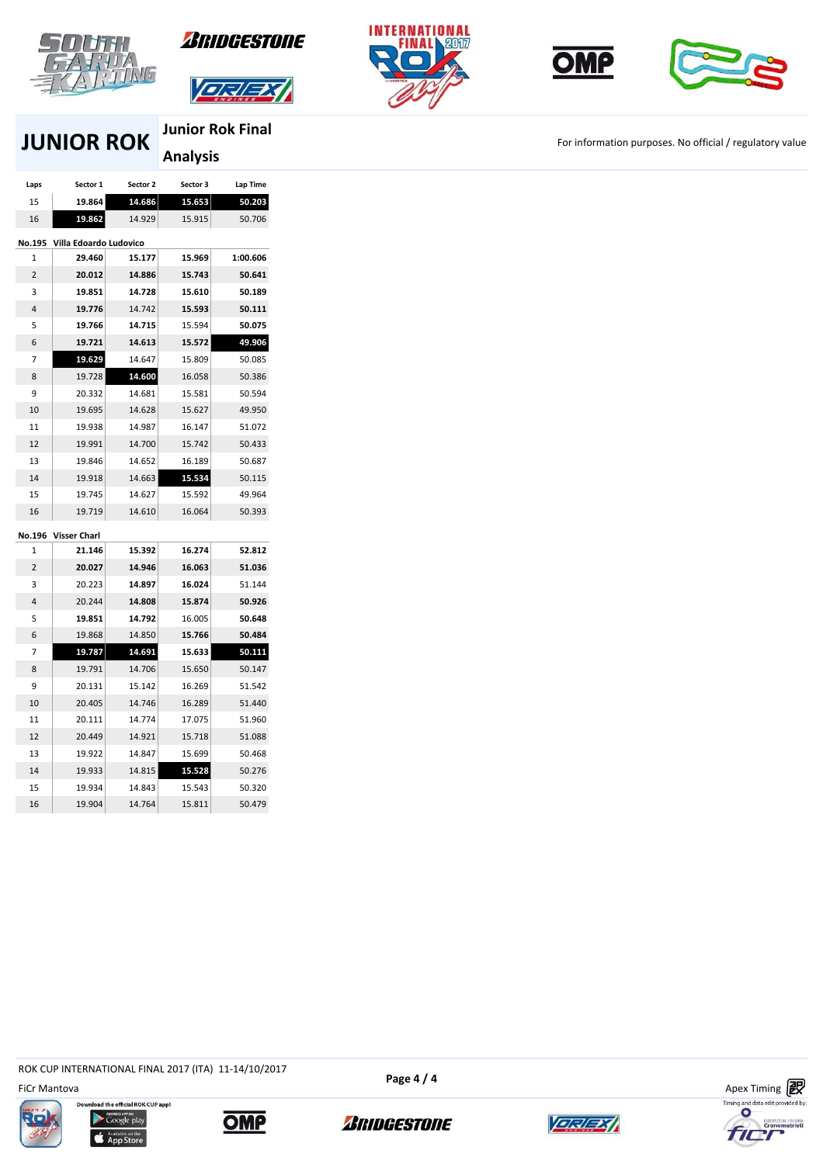



**DELEY** 







# **JUNIOR ROK JUNIOR ROK FILL A FOR THE ROOM For information purposes. No official / regulatory value**

**Junior Rok Final Analysis** 

| Laps           | Sector 1               | Sector 2 | Sector 3 | Lap Time |
|----------------|------------------------|----------|----------|----------|
| 15             | 19.864                 | 14.686   | 15.653   | 50.203   |
| 16             | 19.862                 | 14.929   | 15.915   | 50.706   |
| No.195         | Villa Edoardo Ludovico |          |          |          |
| 1              | 29.460                 | 15.177   | 15.969   | 1:00.606 |
| $\overline{2}$ | 20.012                 | 14.886   | 15.743   | 50.641   |
| 3              | 19.851                 | 14.728   | 15.610   | 50.189   |
| 4              | 19.776                 | 14.742   | 15.593   | 50.111   |
| 5              | 19.766                 | 14.715   | 15.594   | 50.075   |
| 6              | 19.721                 | 14.613   | 15.572   | 49.906   |
| 7              | 19.629                 | 14.647   | 15.809   | 50.085   |
| 8              | 19.728                 | 14.600   | 16.058   | 50.386   |
| 9              | 20.332                 | 14.681   | 15.581   | 50.594   |
| 10             | 19.695                 | 14.628   | 15.627   | 49.950   |
| 11             | 19.938                 | 14.987   | 16.147   | 51.072   |
| 12             | 19.991                 | 14.700   | 15.742   | 50.433   |
| 13             | 19.846                 | 14.652   | 16.189   | 50.687   |
| 14             | 19.918                 | 14.663   | 15.534   | 50.115   |
| 15             | 19.745                 | 14.627   | 15.592   | 49.964   |
| 16             | 19.719                 | 14.610   | 16.064   | 50.393   |
| No.196         | <b>Visser Charl</b>    |          |          |          |
| 1              | 21.146                 | 15.392   | 16.274   | 52.812   |
| $\overline{2}$ | 20.027                 | 14.946   | 16.063   | 51.036   |
| 3              | 20.223                 | 14.897   | 16.024   | 51.144   |
| 4              | 20.244                 | 14.808   | 15.874   | 50.926   |
| 5              | 19.851                 | 14.792   | 16.005   | 50.648   |
| 6              | 19.868                 | 14.850   | 15.766   | 50.484   |
| 7              | 19.787                 | 14.691   | 15.633   | 50.111   |
| 8              | 19.791                 | 14.706   | 15.650   | 50.147   |
| 9              | 20.131                 | 15.142   | 16.269   | 51.542   |
| 10             | 20.405                 | 14.746   | 16.289   | 51.440   |
| 11             | 20.111                 | 14.774   | 17.075   | 51.960   |
| 12             | 20.449                 | 14.921   | 15.718   | 51.088   |
| 13             | 19.922                 | 14.847   | 15.699   | 50.468   |
| 14             | 19.933                 | 14.815   | 15.528   | 50.276   |
| 15             | 19.934                 | 14.843   | 15.543   | 50.320   |
| 16             | 19.904                 | 14.764   | 15.811   | 50.479   |

ROK CUP INTERNATIONAL FINAL 2017 (ITA) 11-14/10/2017











**Page 4 / 4**